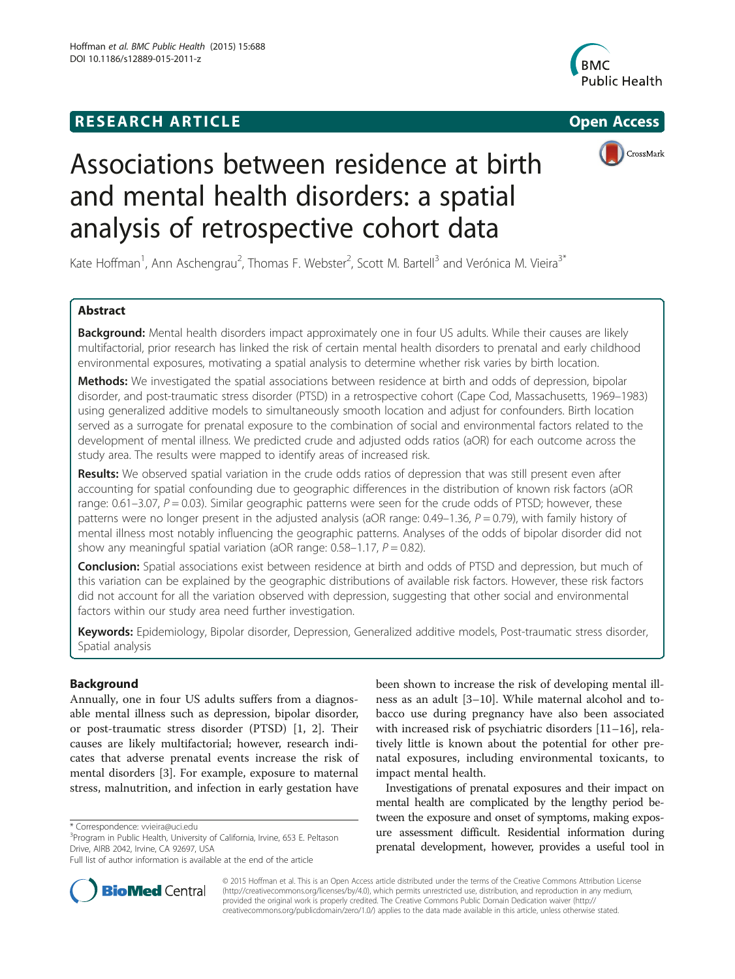# **RESEARCH ARTICLE Example 2014 12:30 The SEAR CHA R TIGGS**





# Associations between residence at birth and mental health disorders: a spatial analysis of retrospective cohort data

Kate Hoffman<sup>1</sup>, Ann Aschengrau<sup>2</sup>, Thomas F. Webster<sup>2</sup>, Scott M. Bartell<sup>3</sup> and Verónica M. Vieira<sup>3\*</sup>

# Abstract

Background: Mental health disorders impact approximately one in four US adults. While their causes are likely multifactorial, prior research has linked the risk of certain mental health disorders to prenatal and early childhood environmental exposures, motivating a spatial analysis to determine whether risk varies by birth location.

Methods: We investigated the spatial associations between residence at birth and odds of depression, bipolar disorder, and post-traumatic stress disorder (PTSD) in a retrospective cohort (Cape Cod, Massachusetts, 1969–1983) using generalized additive models to simultaneously smooth location and adjust for confounders. Birth location served as a surrogate for prenatal exposure to the combination of social and environmental factors related to the development of mental illness. We predicted crude and adjusted odds ratios (aOR) for each outcome across the study area. The results were mapped to identify areas of increased risk.

Results: We observed spatial variation in the crude odds ratios of depression that was still present even after accounting for spatial confounding due to geographic differences in the distribution of known risk factors (aOR range:  $0.61-3.07$ ,  $P = 0.03$ ). Similar geographic patterns were seen for the crude odds of PTSD; however, these patterns were no longer present in the adjusted analysis (aOR range: 0.49–1.36,  $P = 0.79$ ), with family history of mental illness most notably influencing the geographic patterns. Analyses of the odds of bipolar disorder did not show any meaningful spatial variation (aOR range:  $0.58-1.17$ ,  $P = 0.82$ ).

**Conclusion:** Spatial associations exist between residence at birth and odds of PTSD and depression, but much of this variation can be explained by the geographic distributions of available risk factors. However, these risk factors did not account for all the variation observed with depression, suggesting that other social and environmental factors within our study area need further investigation.

Keywords: Epidemiology, Bipolar disorder, Depression, Generalized additive models, Post-traumatic stress disorder, Spatial analysis

# Background

Annually, one in four US adults suffers from a diagnosable mental illness such as depression, bipolar disorder, or post-traumatic stress disorder (PTSD) [[1, 2\]](#page-7-0). Their causes are likely multifactorial; however, research indicates that adverse prenatal events increase the risk of mental disorders [\[3](#page-7-0)]. For example, exposure to maternal stress, malnutrition, and infection in early gestation have

been shown to increase the risk of developing mental illness as an adult [[3](#page-7-0)–[10\]](#page-8-0). While maternal alcohol and tobacco use during pregnancy have also been associated with increased risk of psychiatric disorders [\[11](#page-8-0)–[16\]](#page-8-0), relatively little is known about the potential for other prenatal exposures, including environmental toxicants, to impact mental health.

Investigations of prenatal exposures and their impact on mental health are complicated by the lengthy period between the exposure and onset of symptoms, making exposure assessment difficult. Residential information during prenatal development, however, provides a useful tool in



© 2015 Hoffman et al. This is an Open Access article distributed under the terms of the Creative Commons Attribution License [\(http://creativecommons.org/licenses/by/4.0\)](http://creativecommons.org/licenses/by/4.0), which permits unrestricted use, distribution, and reproduction in any medium, provided the original work is properly credited. The Creative Commons Public Domain Dedication waiver [\(http://](http://creativecommons.org/publicdomain/zero/1.0/) [creativecommons.org/publicdomain/zero/1.0/\)](http://creativecommons.org/publicdomain/zero/1.0/) applies to the data made available in this article, unless otherwise stated.

<sup>\*</sup> Correspondence: [vvieira@uci.edu](mailto:vvieira@uci.edu) <sup>3</sup>

<sup>&</sup>lt;sup>3</sup>Program in Public Health, University of California, Irvine, 653 E. Peltason Drive, AIRB 2042, Irvine, CA 92697, USA

Full list of author information is available at the end of the article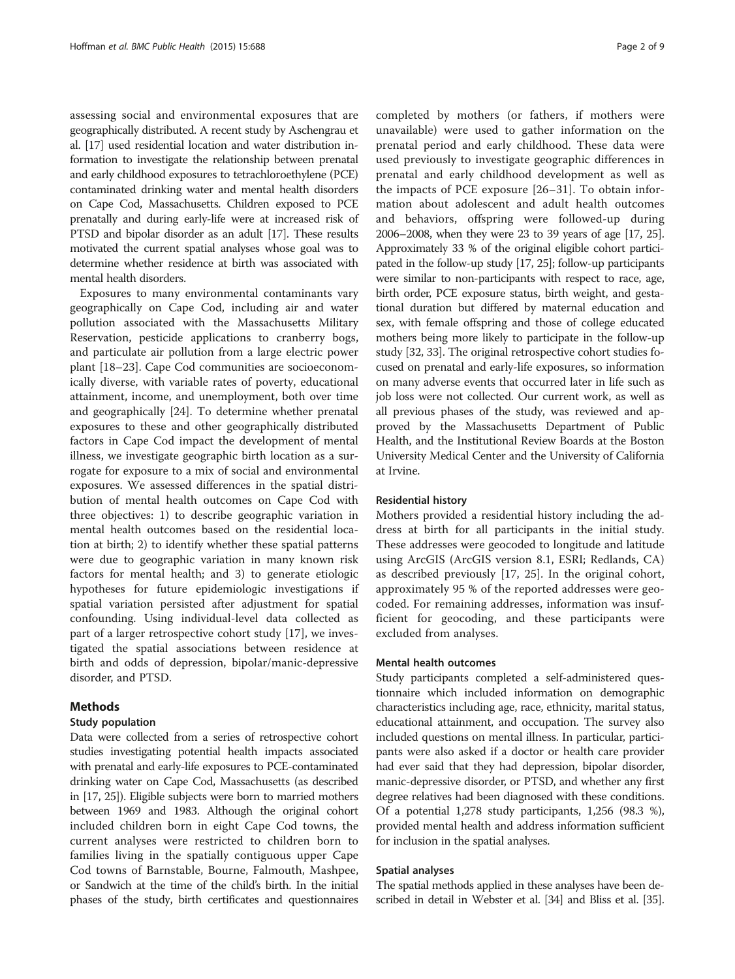assessing social and environmental exposures that are geographically distributed. A recent study by Aschengrau et al. [[17](#page-8-0)] used residential location and water distribution information to investigate the relationship between prenatal and early childhood exposures to tetrachloroethylene (PCE) contaminated drinking water and mental health disorders on Cape Cod, Massachusetts. Children exposed to PCE prenatally and during early-life were at increased risk of PTSD and bipolar disorder as an adult [\[17](#page-8-0)]. These results motivated the current spatial analyses whose goal was to determine whether residence at birth was associated with mental health disorders.

Exposures to many environmental contaminants vary geographically on Cape Cod, including air and water pollution associated with the Massachusetts Military Reservation, pesticide applications to cranberry bogs, and particulate air pollution from a large electric power plant [[18](#page-8-0)–[23](#page-8-0)]. Cape Cod communities are socioeconomically diverse, with variable rates of poverty, educational attainment, income, and unemployment, both over time and geographically [[24\]](#page-8-0). To determine whether prenatal exposures to these and other geographically distributed factors in Cape Cod impact the development of mental illness, we investigate geographic birth location as a surrogate for exposure to a mix of social and environmental exposures. We assessed differences in the spatial distribution of mental health outcomes on Cape Cod with three objectives: 1) to describe geographic variation in mental health outcomes based on the residential location at birth; 2) to identify whether these spatial patterns were due to geographic variation in many known risk factors for mental health; and 3) to generate etiologic hypotheses for future epidemiologic investigations if spatial variation persisted after adjustment for spatial confounding. Using individual-level data collected as part of a larger retrospective cohort study [\[17\]](#page-8-0), we investigated the spatial associations between residence at birth and odds of depression, bipolar/manic-depressive disorder, and PTSD.

### Methods

### Study population

Data were collected from a series of retrospective cohort studies investigating potential health impacts associated with prenatal and early-life exposures to PCE-contaminated drinking water on Cape Cod, Massachusetts (as described in [\[17, 25](#page-8-0)]). Eligible subjects were born to married mothers between 1969 and 1983. Although the original cohort included children born in eight Cape Cod towns, the current analyses were restricted to children born to families living in the spatially contiguous upper Cape Cod towns of Barnstable, Bourne, Falmouth, Mashpee, or Sandwich at the time of the child's birth. In the initial phases of the study, birth certificates and questionnaires

completed by mothers (or fathers, if mothers were unavailable) were used to gather information on the prenatal period and early childhood. These data were used previously to investigate geographic differences in prenatal and early childhood development as well as the impacts of PCE exposure [[26](#page-8-0)–[31\]](#page-8-0). To obtain information about adolescent and adult health outcomes and behaviors, offspring were followed-up during 2006–2008, when they were 23 to 39 years of age [\[17, 25](#page-8-0)]. Approximately 33 % of the original eligible cohort participated in the follow-up study [\[17, 25\]](#page-8-0); follow-up participants were similar to non-participants with respect to race, age, birth order, PCE exposure status, birth weight, and gestational duration but differed by maternal education and sex, with female offspring and those of college educated mothers being more likely to participate in the follow-up study [[32](#page-8-0), [33\]](#page-8-0). The original retrospective cohort studies focused on prenatal and early-life exposures, so information on many adverse events that occurred later in life such as job loss were not collected. Our current work, as well as all previous phases of the study, was reviewed and approved by the Massachusetts Department of Public Health, and the Institutional Review Boards at the Boston University Medical Center and the University of California at Irvine.

### Residential history

Mothers provided a residential history including the address at birth for all participants in the initial study. These addresses were geocoded to longitude and latitude using ArcGIS (ArcGIS version 8.1, ESRI; Redlands, CA) as described previously [\[17, 25\]](#page-8-0). In the original cohort, approximately 95 % of the reported addresses were geocoded. For remaining addresses, information was insufficient for geocoding, and these participants were excluded from analyses.

#### Mental health outcomes

Study participants completed a self-administered questionnaire which included information on demographic characteristics including age, race, ethnicity, marital status, educational attainment, and occupation. The survey also included questions on mental illness. In particular, participants were also asked if a doctor or health care provider had ever said that they had depression, bipolar disorder, manic-depressive disorder, or PTSD, and whether any first degree relatives had been diagnosed with these conditions. Of a potential 1,278 study participants, 1,256 (98.3 %), provided mental health and address information sufficient for inclusion in the spatial analyses.

#### Spatial analyses

The spatial methods applied in these analyses have been described in detail in Webster et al. [\[34\]](#page-8-0) and Bliss et al. [\[35](#page-8-0)].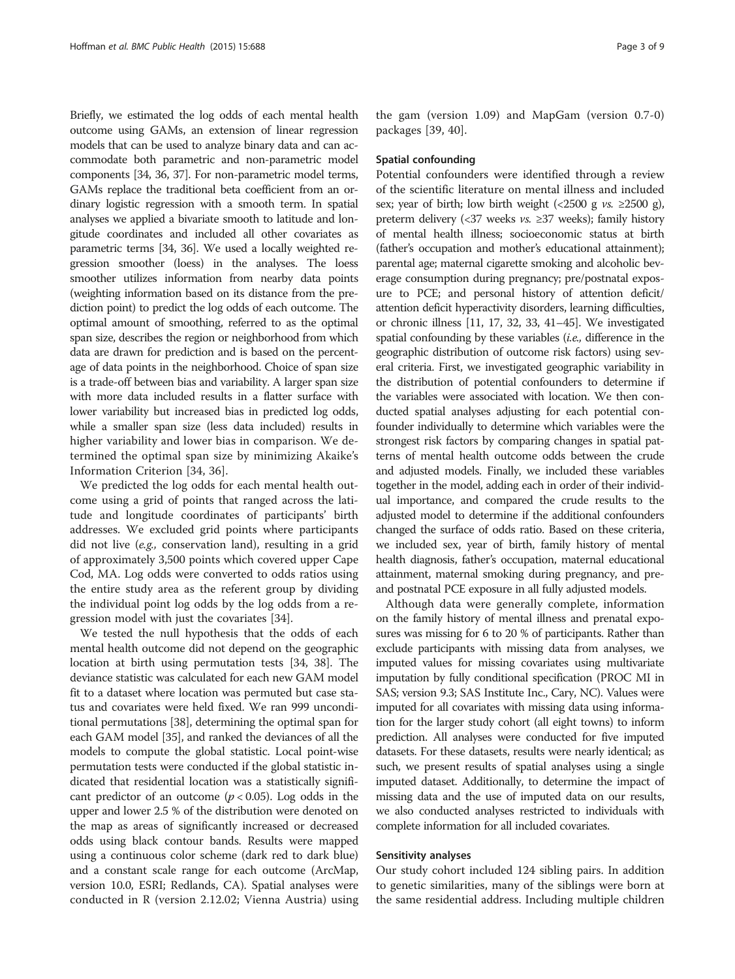Briefly, we estimated the log odds of each mental health outcome using GAMs, an extension of linear regression models that can be used to analyze binary data and can accommodate both parametric and non-parametric model components [\[34, 36](#page-8-0), [37\]](#page-8-0). For non-parametric model terms, GAMs replace the traditional beta coefficient from an ordinary logistic regression with a smooth term. In spatial analyses we applied a bivariate smooth to latitude and longitude coordinates and included all other covariates as parametric terms [[34, 36](#page-8-0)]. We used a locally weighted regression smoother (loess) in the analyses. The loess smoother utilizes information from nearby data points (weighting information based on its distance from the prediction point) to predict the log odds of each outcome. The optimal amount of smoothing, referred to as the optimal span size, describes the region or neighborhood from which data are drawn for prediction and is based on the percentage of data points in the neighborhood. Choice of span size is a trade-off between bias and variability. A larger span size with more data included results in a flatter surface with lower variability but increased bias in predicted log odds, while a smaller span size (less data included) results in higher variability and lower bias in comparison. We determined the optimal span size by minimizing Akaike's Information Criterion [\[34](#page-8-0), [36](#page-8-0)].

We predicted the log odds for each mental health outcome using a grid of points that ranged across the latitude and longitude coordinates of participants' birth addresses. We excluded grid points where participants did not live (e.g., conservation land), resulting in a grid of approximately 3,500 points which covered upper Cape Cod, MA. Log odds were converted to odds ratios using the entire study area as the referent group by dividing the individual point log odds by the log odds from a regression model with just the covariates [\[34](#page-8-0)].

We tested the null hypothesis that the odds of each mental health outcome did not depend on the geographic location at birth using permutation tests [[34, 38](#page-8-0)]. The deviance statistic was calculated for each new GAM model fit to a dataset where location was permuted but case status and covariates were held fixed. We ran 999 unconditional permutations [[38\]](#page-8-0), determining the optimal span for each GAM model [\[35\]](#page-8-0), and ranked the deviances of all the models to compute the global statistic. Local point-wise permutation tests were conducted if the global statistic indicated that residential location was a statistically significant predictor of an outcome ( $p < 0.05$ ). Log odds in the upper and lower 2.5 % of the distribution were denoted on the map as areas of significantly increased or decreased odds using black contour bands. Results were mapped using a continuous color scheme (dark red to dark blue) and a constant scale range for each outcome (ArcMap, version 10.0, ESRI; Redlands, CA). Spatial analyses were conducted in R (version 2.12.02; Vienna Austria) using the gam (version 1.09) and MapGam (version 0.7-0) packages [[39, 40](#page-8-0)].

#### Spatial confounding

Potential confounders were identified through a review of the scientific literature on mental illness and included sex; year of birth; low birth weight (<2500 g  $\nu$ s. ≥2500 g), preterm delivery (<37 weeks vs. <sup>≥</sup>37 weeks); family history of mental health illness; socioeconomic status at birth (father's occupation and mother's educational attainment); parental age; maternal cigarette smoking and alcoholic beverage consumption during pregnancy; pre/postnatal exposure to PCE; and personal history of attention deficit/ attention deficit hyperactivity disorders, learning difficulties, or chronic illness [[11](#page-8-0), [17](#page-8-0), [32](#page-8-0), [33, 41](#page-8-0)–[45\]](#page-8-0). We investigated spatial confounding by these variables  $(i.e.,$  difference in the geographic distribution of outcome risk factors) using several criteria. First, we investigated geographic variability in the distribution of potential confounders to determine if the variables were associated with location. We then conducted spatial analyses adjusting for each potential confounder individually to determine which variables were the strongest risk factors by comparing changes in spatial patterns of mental health outcome odds between the crude and adjusted models. Finally, we included these variables together in the model, adding each in order of their individual importance, and compared the crude results to the adjusted model to determine if the additional confounders changed the surface of odds ratio. Based on these criteria, we included sex, year of birth, family history of mental health diagnosis, father's occupation, maternal educational attainment, maternal smoking during pregnancy, and preand postnatal PCE exposure in all fully adjusted models.

Although data were generally complete, information on the family history of mental illness and prenatal exposures was missing for 6 to 20 % of participants. Rather than exclude participants with missing data from analyses, we imputed values for missing covariates using multivariate imputation by fully conditional specification (PROC MI in SAS; version 9.3; SAS Institute Inc., Cary, NC). Values were imputed for all covariates with missing data using information for the larger study cohort (all eight towns) to inform prediction. All analyses were conducted for five imputed datasets. For these datasets, results were nearly identical; as such, we present results of spatial analyses using a single imputed dataset. Additionally, to determine the impact of missing data and the use of imputed data on our results, we also conducted analyses restricted to individuals with complete information for all included covariates.

# Sensitivity analyses

Our study cohort included 124 sibling pairs. In addition to genetic similarities, many of the siblings were born at the same residential address. Including multiple children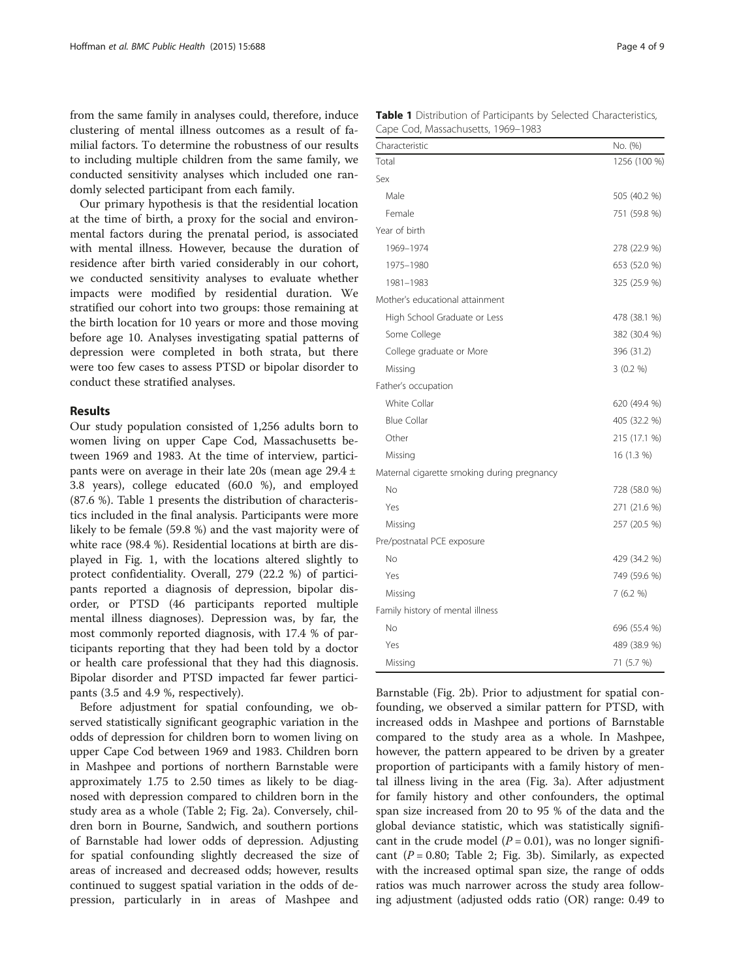from the same family in analyses could, therefore, induce clustering of mental illness outcomes as a result of familial factors. To determine the robustness of our results to including multiple children from the same family, we conducted sensitivity analyses which included one randomly selected participant from each family.

Our primary hypothesis is that the residential location at the time of birth, a proxy for the social and environmental factors during the prenatal period, is associated with mental illness. However, because the duration of residence after birth varied considerably in our cohort, we conducted sensitivity analyses to evaluate whether impacts were modified by residential duration. We stratified our cohort into two groups: those remaining at the birth location for 10 years or more and those moving before age 10. Analyses investigating spatial patterns of depression were completed in both strata, but there were too few cases to assess PTSD or bipolar disorder to conduct these stratified analyses.

# Results

Our study population consisted of 1,256 adults born to women living on upper Cape Cod, Massachusetts between 1969 and 1983. At the time of interview, participants were on average in their late 20s (mean age 29.4 ± 3.8 years), college educated (60.0 %), and employed (87.6 %). Table 1 presents the distribution of characteristics included in the final analysis. Participants were more likely to be female (59.8 %) and the vast majority were of white race (98.4 %). Residential locations at birth are displayed in Fig. [1,](#page-4-0) with the locations altered slightly to protect confidentiality. Overall, 279 (22.2 %) of participants reported a diagnosis of depression, bipolar disorder, or PTSD (46 participants reported multiple mental illness diagnoses). Depression was, by far, the most commonly reported diagnosis, with 17.4 % of participants reporting that they had been told by a doctor or health care professional that they had this diagnosis. Bipolar disorder and PTSD impacted far fewer participants (3.5 and 4.9 %, respectively).

Before adjustment for spatial confounding, we observed statistically significant geographic variation in the odds of depression for children born to women living on upper Cape Cod between 1969 and 1983. Children born in Mashpee and portions of northern Barnstable were approximately 1.75 to 2.50 times as likely to be diagnosed with depression compared to children born in the study area as a whole (Table [2](#page-4-0); Fig. [2a\)](#page-5-0). Conversely, children born in Bourne, Sandwich, and southern portions of Barnstable had lower odds of depression. Adjusting for spatial confounding slightly decreased the size of areas of increased and decreased odds; however, results continued to suggest spatial variation in the odds of depression, particularly in in areas of Mashpee and

Table 1 Distribution of Participants by Selected Characteristics, Cape Cod, Massachusetts, 1969–1983

| Characteristic                              | No. (%)      |  |  |  |
|---------------------------------------------|--------------|--|--|--|
| Total                                       | 1256 (100 %) |  |  |  |
| Sex                                         |              |  |  |  |
| Male                                        | 505 (40.2 %) |  |  |  |
| Female                                      | 751 (59.8 %) |  |  |  |
| Year of birth                               |              |  |  |  |
| 1969-1974                                   | 278 (22.9 %) |  |  |  |
| 1975-1980                                   | 653 (52.0 %) |  |  |  |
| 1981-1983                                   | 325 (25.9 %) |  |  |  |
| Mother's educational attainment             |              |  |  |  |
| High School Graduate or Less                | 478 (38.1 %) |  |  |  |
| Some College                                | 382 (30.4 %) |  |  |  |
| College graduate or More                    | 396 (31.2)   |  |  |  |
| Missing                                     | 3(0.2%       |  |  |  |
| Father's occupation                         |              |  |  |  |
| White Collar                                | 620 (49.4 %) |  |  |  |
| <b>Blue Collar</b>                          | 405 (32.2 %) |  |  |  |
| Other                                       | 215 (17.1 %) |  |  |  |
| Missing                                     | 16 (1.3 %)   |  |  |  |
| Maternal cigarette smoking during pregnancy |              |  |  |  |
| No                                          | 728 (58.0 %) |  |  |  |
| Yes                                         | 271 (21.6 %) |  |  |  |
| Missing                                     | 257 (20.5 %) |  |  |  |
| Pre/postnatal PCE exposure                  |              |  |  |  |
| No                                          | 429 (34.2 %) |  |  |  |
| Yes                                         | 749 (59.6 %) |  |  |  |
| Missing                                     | 7 (6.2 %)    |  |  |  |
| Family history of mental illness            |              |  |  |  |
| No                                          | 696 (55.4 %) |  |  |  |
| Yes                                         | 489 (38.9 %) |  |  |  |
| Missing                                     | 71 (5.7 %)   |  |  |  |

Barnstable (Fig. [2b](#page-5-0)). Prior to adjustment for spatial confounding, we observed a similar pattern for PTSD, with increased odds in Mashpee and portions of Barnstable compared to the study area as a whole. In Mashpee, however, the pattern appeared to be driven by a greater proportion of participants with a family history of mental illness living in the area (Fig. [3a\)](#page-5-0). After adjustment for family history and other confounders, the optimal span size increased from 20 to 95 % of the data and the global deviance statistic, which was statistically significant in the crude model ( $P = 0.01$ ), was no longer significant  $(P = 0.80;$  Table [2;](#page-4-0) Fig. [3b\)](#page-5-0). Similarly, as expected with the increased optimal span size, the range of odds ratios was much narrower across the study area following adjustment (adjusted odds ratio (OR) range: 0.49 to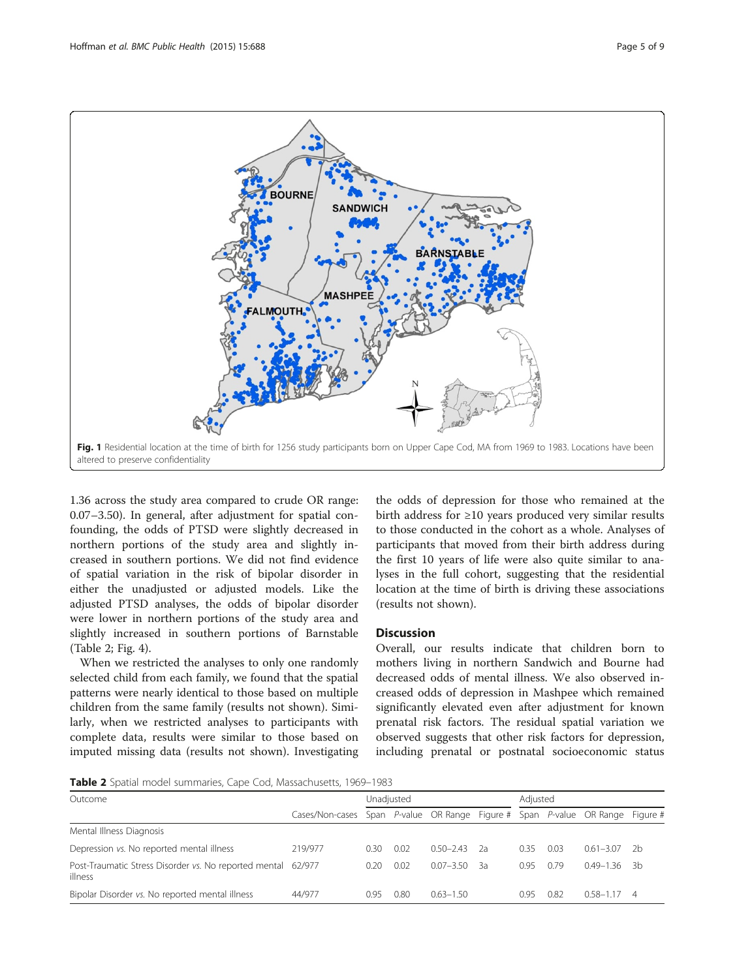<span id="page-4-0"></span>

1.36 across the study area compared to crude OR range: 0.07–3.50). In general, after adjustment for spatial confounding, the odds of PTSD were slightly decreased in northern portions of the study area and slightly increased in southern portions. We did not find evidence of spatial variation in the risk of bipolar disorder in either the unadjusted or adjusted models. Like the adjusted PTSD analyses, the odds of bipolar disorder were lower in northern portions of the study area and slightly increased in southern portions of Barnstable (Table 2; Fig. [4](#page-6-0)).

When we restricted the analyses to only one randomly selected child from each family, we found that the spatial patterns were nearly identical to those based on multiple children from the same family (results not shown). Similarly, when we restricted analyses to participants with complete data, results were similar to those based on imputed missing data (results not shown). Investigating

the odds of depression for those who remained at the birth address for ≥10 years produced very similar results to those conducted in the cohort as a whole. Analyses of participants that moved from their birth address during the first 10 years of life were also quite similar to analyses in the full cohort, suggesting that the residential location at the time of birth is driving these associations (results not shown).

# **Discussion**

Overall, our results indicate that children born to mothers living in northern Sandwich and Bourne had decreased odds of mental illness. We also observed increased odds of depression in Mashpee which remained significantly elevated even after adjustment for known prenatal risk factors. The residual spatial variation we observed suggests that other risk factors for depression, including prenatal or postnatal socioeconomic status

Table 2 Spatial model summaries, Cape Cod, Massachusetts, 1969-1983

| Outcome                                                                 |                                                                               | Unadjusted |      |               |      | Adjusted |      |                 |      |
|-------------------------------------------------------------------------|-------------------------------------------------------------------------------|------------|------|---------------|------|----------|------|-----------------|------|
|                                                                         | Cases/Non-cases Span P-value OR Range Figure # Span P-value OR Range Figure # |            |      |               |      |          |      |                 |      |
| Mental Illness Diagnosis                                                |                                                                               |            |      |               |      |          |      |                 |      |
| Depression vs. No reported mental illness                               | 219/977                                                                       | 0.30       | 0.02 | $0.50 - 2.43$ | - 2а | 0.35     | 0.03 | $0.61 - 3.07$   | -2b  |
| Post-Traumatic Stress Disorder vs. No reported mental 62/977<br>illness |                                                                               | 0.20       | 0.02 | $0.07 - 3.50$ | - За | 0.95     | O 79 | $0.49 - 1.36$   | - 3h |
| Bipolar Disorder vs. No reported mental illness                         | 44/977                                                                        | 0.95       | 0.80 | $0.63 - 1.50$ |      | 0.95     | 0.82 | $0.58 - 1.17$ 4 |      |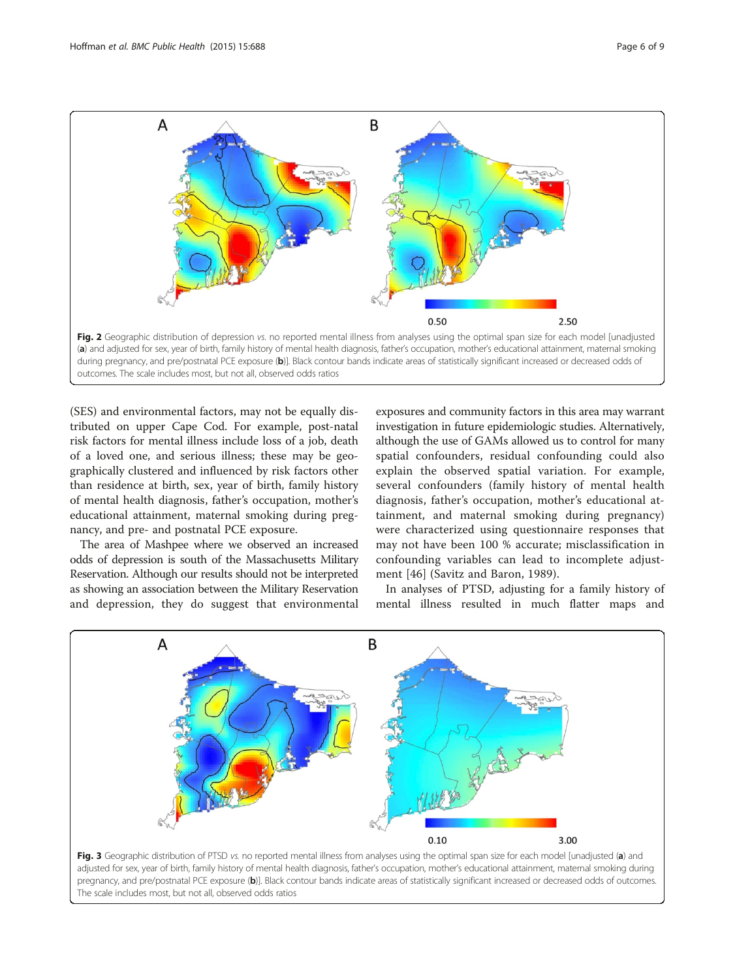<span id="page-5-0"></span>

(SES) and environmental factors, may not be equally distributed on upper Cape Cod. For example, post-natal risk factors for mental illness include loss of a job, death of a loved one, and serious illness; these may be geographically clustered and influenced by risk factors other than residence at birth, sex, year of birth, family history of mental health diagnosis, father's occupation, mother's educational attainment, maternal smoking during pregnancy, and pre- and postnatal PCE exposure.

The area of Mashpee where we observed an increased odds of depression is south of the Massachusetts Military Reservation. Although our results should not be interpreted as showing an association between the Military Reservation and depression, they do suggest that environmental

The scale includes most, but not all, observed odds ratios

exposures and community factors in this area may warrant investigation in future epidemiologic studies. Alternatively, although the use of GAMs allowed us to control for many spatial confounders, residual confounding could also explain the observed spatial variation. For example, several confounders (family history of mental health diagnosis, father's occupation, mother's educational attainment, and maternal smoking during pregnancy) were characterized using questionnaire responses that may not have been 100 % accurate; misclassification in confounding variables can lead to incomplete adjustment [[46\]](#page-8-0) (Savitz and Baron, 1989).

In analyses of PTSD, adjusting for a family history of mental illness resulted in much flatter maps and

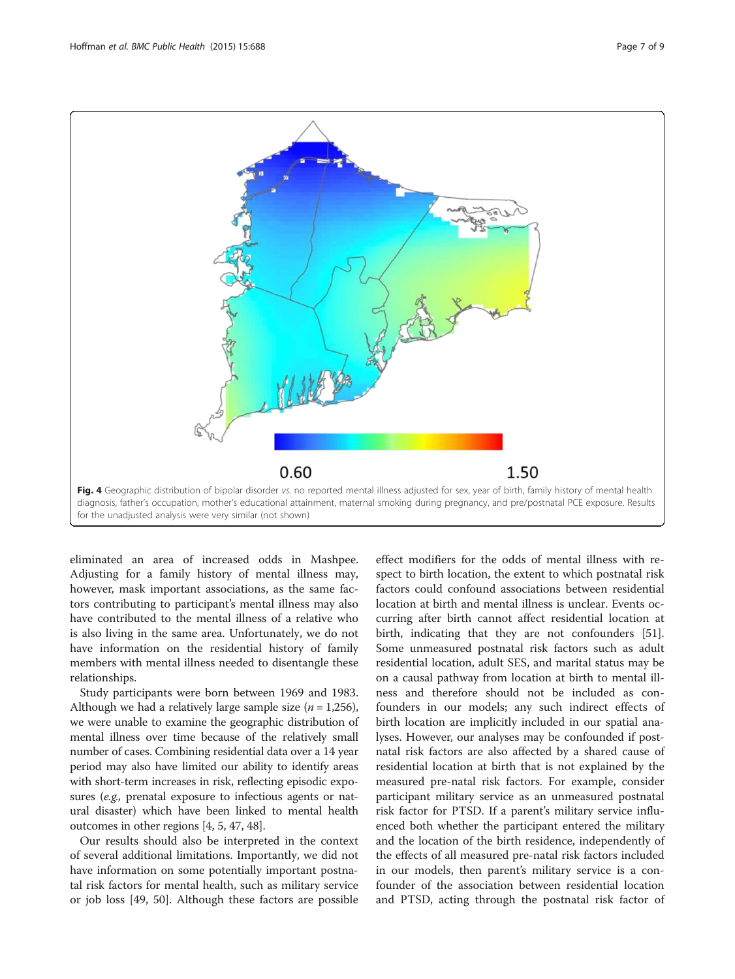<span id="page-6-0"></span>

eliminated an area of increased odds in Mashpee. Adjusting for a family history of mental illness may, however, mask important associations, as the same factors contributing to participant's mental illness may also have contributed to the mental illness of a relative who is also living in the same area. Unfortunately, we do not have information on the residential history of family members with mental illness needed to disentangle these relationships.

Study participants were born between 1969 and 1983. Although we had a relatively large sample size ( $n = 1,256$ ), we were unable to examine the geographic distribution of mental illness over time because of the relatively small number of cases. Combining residential data over a 14 year period may also have limited our ability to identify areas with short-term increases in risk, reflecting episodic exposures (e.g., prenatal exposure to infectious agents or natural disaster) which have been linked to mental health outcomes in other regions [[4, 5](#page-7-0), [47, 48\]](#page-8-0).

Our results should also be interpreted in the context of several additional limitations. Importantly, we did not have information on some potentially important postnatal risk factors for mental health, such as military service or job loss [\[49](#page-8-0), [50\]](#page-8-0). Although these factors are possible

effect modifiers for the odds of mental illness with respect to birth location, the extent to which postnatal risk factors could confound associations between residential location at birth and mental illness is unclear. Events occurring after birth cannot affect residential location at birth, indicating that they are not confounders [\[51](#page-8-0)]. Some unmeasured postnatal risk factors such as adult residential location, adult SES, and marital status may be on a causal pathway from location at birth to mental illness and therefore should not be included as confounders in our models; any such indirect effects of birth location are implicitly included in our spatial analyses. However, our analyses may be confounded if postnatal risk factors are also affected by a shared cause of residential location at birth that is not explained by the measured pre-natal risk factors. For example, consider participant military service as an unmeasured postnatal risk factor for PTSD. If a parent's military service influenced both whether the participant entered the military and the location of the birth residence, independently of the effects of all measured pre-natal risk factors included in our models, then parent's military service is a confounder of the association between residential location and PTSD, acting through the postnatal risk factor of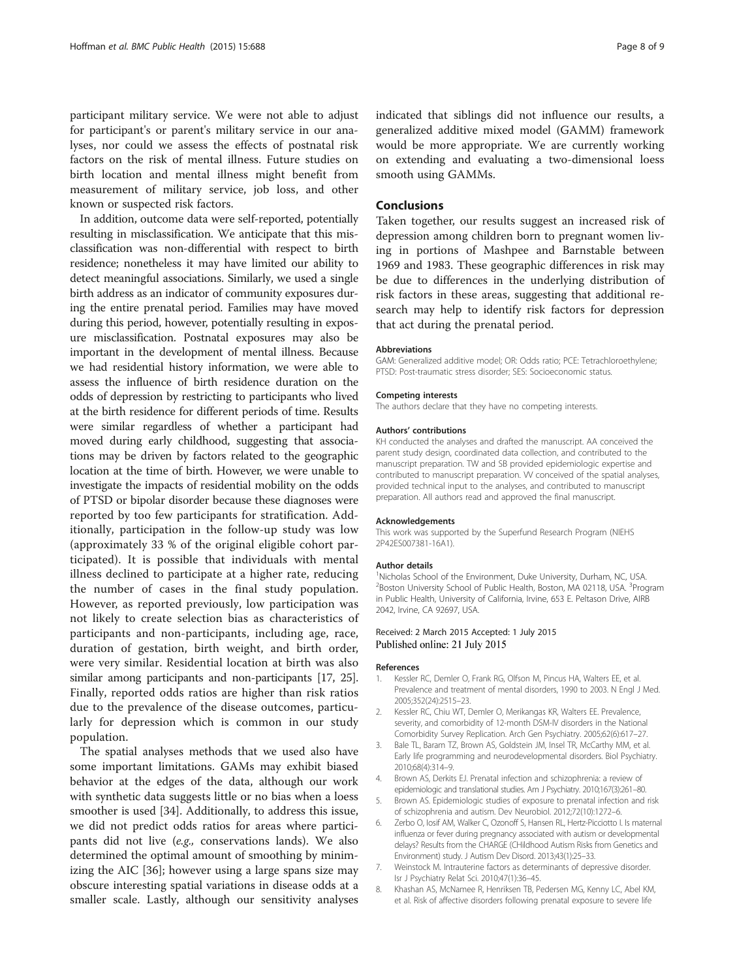<span id="page-7-0"></span>participant military service. We were not able to adjust for participant's or parent's military service in our analyses, nor could we assess the effects of postnatal risk factors on the risk of mental illness. Future studies on birth location and mental illness might benefit from measurement of military service, job loss, and other known or suspected risk factors.

In addition, outcome data were self-reported, potentially resulting in misclassification. We anticipate that this misclassification was non-differential with respect to birth residence; nonetheless it may have limited our ability to detect meaningful associations. Similarly, we used a single birth address as an indicator of community exposures during the entire prenatal period. Families may have moved during this period, however, potentially resulting in exposure misclassification. Postnatal exposures may also be important in the development of mental illness. Because we had residential history information, we were able to assess the influence of birth residence duration on the odds of depression by restricting to participants who lived at the birth residence for different periods of time. Results were similar regardless of whether a participant had moved during early childhood, suggesting that associations may be driven by factors related to the geographic location at the time of birth. However, we were unable to investigate the impacts of residential mobility on the odds of PTSD or bipolar disorder because these diagnoses were reported by too few participants for stratification. Additionally, participation in the follow-up study was low (approximately 33 % of the original eligible cohort participated). It is possible that individuals with mental illness declined to participate at a higher rate, reducing the number of cases in the final study population. However, as reported previously, low participation was not likely to create selection bias as characteristics of participants and non-participants, including age, race, duration of gestation, birth weight, and birth order, were very similar. Residential location at birth was also similar among participants and non-participants [\[17, 25](#page-8-0)]. Finally, reported odds ratios are higher than risk ratios due to the prevalence of the disease outcomes, particularly for depression which is common in our study population.

The spatial analyses methods that we used also have some important limitations. GAMs may exhibit biased behavior at the edges of the data, although our work with synthetic data suggests little or no bias when a loess smoother is used [[34](#page-8-0)]. Additionally, to address this issue, we did not predict odds ratios for areas where participants did not live (e.g., conservations lands). We also determined the optimal amount of smoothing by minimizing the AIC [[36](#page-8-0)]; however using a large spans size may obscure interesting spatial variations in disease odds at a smaller scale. Lastly, although our sensitivity analyses indicated that siblings did not influence our results, a generalized additive mixed model (GAMM) framework would be more appropriate. We are currently working on extending and evaluating a two-dimensional loess smooth using GAMMs.

# Conclusions

Taken together, our results suggest an increased risk of depression among children born to pregnant women living in portions of Mashpee and Barnstable between 1969 and 1983. These geographic differences in risk may be due to differences in the underlying distribution of risk factors in these areas, suggesting that additional research may help to identify risk factors for depression that act during the prenatal period.

#### Abbreviations

GAM: Generalized additive model; OR: Odds ratio; PCE: Tetrachloroethylene; PTSD: Post-traumatic stress disorder; SES: Socioeconomic status.

#### Competing interests

The authors declare that they have no competing interests.

#### Authors' contributions

KH conducted the analyses and drafted the manuscript. AA conceived the parent study design, coordinated data collection, and contributed to the manuscript preparation. TW and SB provided epidemiologic expertise and contributed to manuscript preparation. W conceived of the spatial analyses, provided technical input to the analyses, and contributed to manuscript preparation. All authors read and approved the final manuscript.

#### Acknowledgements

This work was supported by the Superfund Research Program (NIEHS 2P42ES007381-16A1).

#### Author details

<sup>1</sup>Nicholas School of the Environment, Duke University, Durham, NC, USA <sup>2</sup>Boston University School of Public Health, Boston, MA 02118, USA. <sup>3</sup>Program in Public Health, University of California, Irvine, 653 E. Peltason Drive, AIRB 2042, Irvine, CA 92697, USA.

#### Received: 2 March 2015 Accepted: 1 July 2015 Published online: 21 July 2015

#### References

- 1. Kessler RC, Demler O, Frank RG, Olfson M, Pincus HA, Walters EE, et al. Prevalence and treatment of mental disorders, 1990 to 2003. N Engl J Med. 2005;352(24):2515–23.
- 2. Kessler RC, Chiu WT, Demler O, Merikangas KR, Walters EE. Prevalence, severity, and comorbidity of 12-month DSM-IV disorders in the National Comorbidity Survey Replication. Arch Gen Psychiatry. 2005;62(6):617–27.
- 3. Bale TL, Baram TZ, Brown AS, Goldstein JM, Insel TR, McCarthy MM, et al. Early life programming and neurodevelopmental disorders. Biol Psychiatry. 2010;68(4):314–9.
- 4. Brown AS, Derkits EJ. Prenatal infection and schizophrenia: a review of epidemiologic and translational studies. Am J Psychiatry. 2010;167(3):261–80.
- 5. Brown AS. Epidemiologic studies of exposure to prenatal infection and risk of schizophrenia and autism. Dev Neurobiol. 2012;72(10):1272–6.
- 6. Zerbo O, Iosif AM, Walker C, Ozonoff S, Hansen RL, Hertz-Picciotto I. Is maternal influenza or fever during pregnancy associated with autism or developmental delays? Results from the CHARGE (CHildhood Autism Risks from Genetics and Environment) study. J Autism Dev Disord. 2013;43(1):25–33.
- 7. Weinstock M. Intrauterine factors as determinants of depressive disorder. Isr J Psychiatry Relat Sci. 2010;47(1):36–45.
- 8. Khashan AS, McNamee R, Henriksen TB, Pedersen MG, Kenny LC, Abel KM, et al. Risk of affective disorders following prenatal exposure to severe life